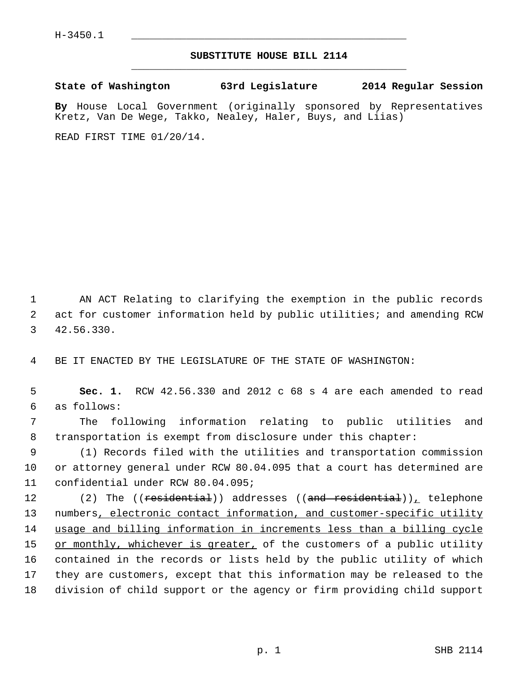## **SUBSTITUTE HOUSE BILL 2114** \_\_\_\_\_\_\_\_\_\_\_\_\_\_\_\_\_\_\_\_\_\_\_\_\_\_\_\_\_\_\_\_\_\_\_\_\_\_\_\_\_\_\_\_\_

**State of Washington 63rd Legislature 2014 Regular Session**

**By** House Local Government (originally sponsored by Representatives Kretz, Van De Wege, Takko, Nealey, Haler, Buys, and Liias)

READ FIRST TIME 01/20/14.

 1 AN ACT Relating to clarifying the exemption in the public records 2 act for customer information held by public utilities; and amending RCW 3 42.56.330.

4 BE IT ENACTED BY THE LEGISLATURE OF THE STATE OF WASHINGTON:

 5 **Sec. 1.** RCW 42.56.330 and 2012 c 68 s 4 are each amended to read 6 as follows:

 7 The following information relating to public utilities and 8 transportation is exempt from disclosure under this chapter:

 9 (1) Records filed with the utilities and transportation commission 10 or attorney general under RCW 80.04.095 that a court has determined are 11 confidential under RCW 80.04.095;

12 (2) The ((<del>residential</del>)) addresses ((<del>and residential</del>)), telephone 13 numbers, electronic contact information, and customer-specific utility 14 usage and billing information in increments less than a billing cycle 15 or monthly, whichever is greater, of the customers of a public utility 16 contained in the records or lists held by the public utility of which 17 they are customers, except that this information may be released to the 18 division of child support or the agency or firm providing child support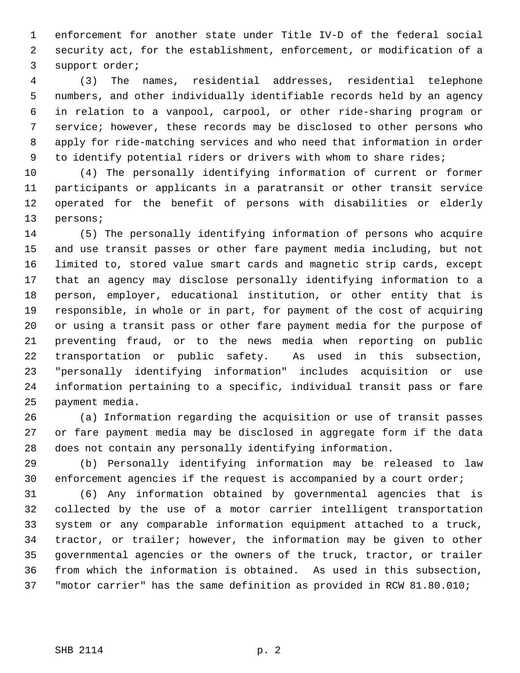1 enforcement for another state under Title IV-D of the federal social 2 security act, for the establishment, enforcement, or modification of a 3 support order;

 4 (3) The names, residential addresses, residential telephone 5 numbers, and other individually identifiable records held by an agency 6 in relation to a vanpool, carpool, or other ride-sharing program or 7 service; however, these records may be disclosed to other persons who 8 apply for ride-matching services and who need that information in order 9 to identify potential riders or drivers with whom to share rides;

10 (4) The personally identifying information of current or former 11 participants or applicants in a paratransit or other transit service 12 operated for the benefit of persons with disabilities or elderly 13 persons;

14 (5) The personally identifying information of persons who acquire 15 and use transit passes or other fare payment media including, but not 16 limited to, stored value smart cards and magnetic strip cards, except 17 that an agency may disclose personally identifying information to a 18 person, employer, educational institution, or other entity that is 19 responsible, in whole or in part, for payment of the cost of acquiring 20 or using a transit pass or other fare payment media for the purpose of 21 preventing fraud, or to the news media when reporting on public 22 transportation or public safety. As used in this subsection, 23 "personally identifying information" includes acquisition or use 24 information pertaining to a specific, individual transit pass or fare 25 payment media.

26 (a) Information regarding the acquisition or use of transit passes 27 or fare payment media may be disclosed in aggregate form if the data 28 does not contain any personally identifying information.

29 (b) Personally identifying information may be released to law 30 enforcement agencies if the request is accompanied by a court order;

31 (6) Any information obtained by governmental agencies that is 32 collected by the use of a motor carrier intelligent transportation 33 system or any comparable information equipment attached to a truck, 34 tractor, or trailer; however, the information may be given to other 35 governmental agencies or the owners of the truck, tractor, or trailer 36 from which the information is obtained. As used in this subsection, 37 "motor carrier" has the same definition as provided in RCW 81.80.010;